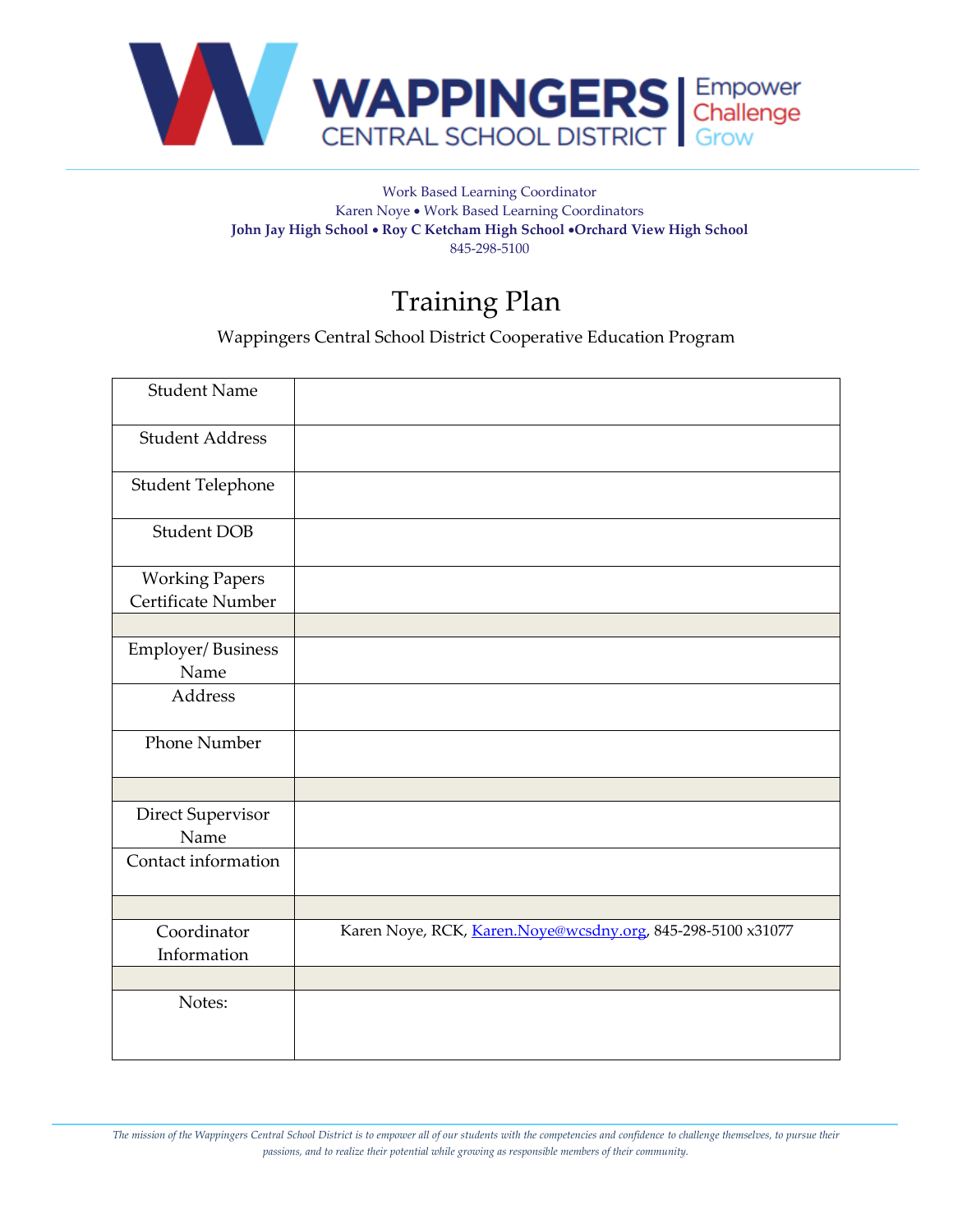

## Work Based Learning Coordinator Karen Noye • Work Based Learning Coordinators **John Jay High School** • **Roy C Ketcham High School** •**Orchard View High School** 845-298-5100

## Training Plan

Wappingers Central School District Cooperative Education Program

| <b>Student Name</b>    |                                                             |
|------------------------|-------------------------------------------------------------|
| <b>Student Address</b> |                                                             |
| Student Telephone      |                                                             |
| <b>Student DOB</b>     |                                                             |
| <b>Working Papers</b>  |                                                             |
| Certificate Number     |                                                             |
|                        |                                                             |
| Employer/Business      |                                                             |
| Name                   |                                                             |
| Address                |                                                             |
|                        |                                                             |
| <b>Phone Number</b>    |                                                             |
|                        |                                                             |
| Direct Supervisor      |                                                             |
| Name                   |                                                             |
| Contact information    |                                                             |
|                        |                                                             |
|                        |                                                             |
| Coordinator            | Karen Noye, RCK, Karen.Noye@wcsdny.org, 845-298-5100 x31077 |
| Information            |                                                             |
|                        |                                                             |
| Notes:                 |                                                             |
|                        |                                                             |
|                        |                                                             |

*The mission of the Wappingers Central School District is to empower all of our students with the competencies and confidence to challenge themselves, to pursue their passions, and to realize their potential while growing as responsible members of their community.*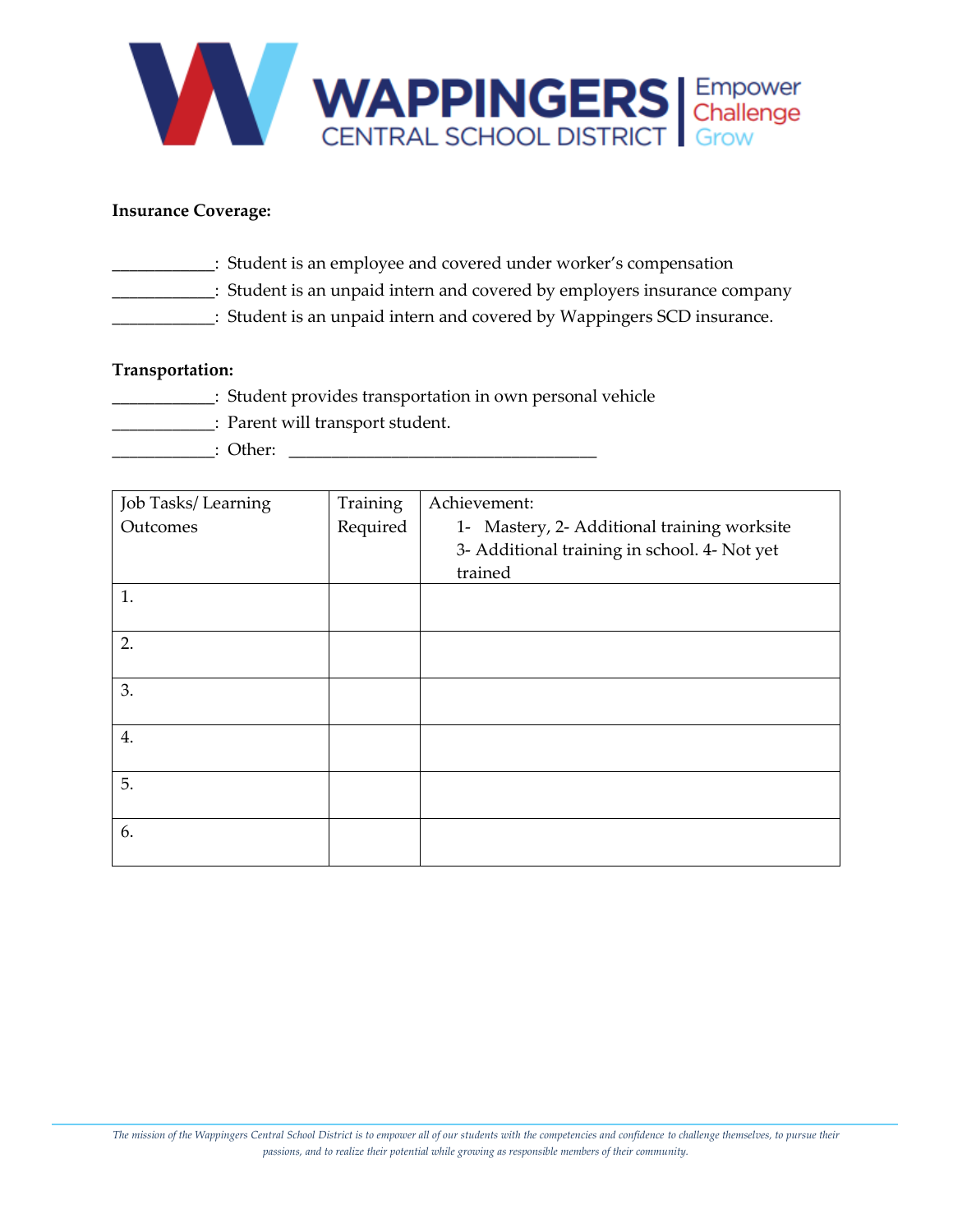

## **Insurance Coverage:**

- \_\_\_\_\_\_\_\_\_\_\_\_: Student is an employee and covered under worker's compensation
- \_\_\_\_\_\_\_\_\_\_\_\_: Student is an unpaid intern and covered by employers insurance company
	- \_\_\_\_\_\_\_\_\_\_\_\_: Student is an unpaid intern and covered by Wappingers SCD insurance.

## **Transportation:**

- \_\_\_\_\_\_\_\_\_\_\_\_: Student provides transportation in own personal vehicle
	- \_\_\_\_\_\_\_\_\_\_\_\_: Parent will transport student.
- \_\_\_\_\_\_\_\_\_\_\_\_: Other: \_\_\_\_\_\_\_\_\_\_\_\_\_\_\_\_\_\_\_\_\_\_\_\_\_\_\_\_\_\_\_\_\_\_\_\_

| <b>Job Tasks/Learning</b> | Training | Achievement:                                 |  |  |
|---------------------------|----------|----------------------------------------------|--|--|
| Outcomes                  | Required | 1- Mastery, 2- Additional training worksite  |  |  |
|                           |          | 3- Additional training in school. 4- Not yet |  |  |
|                           |          | trained                                      |  |  |
| 1.                        |          |                                              |  |  |
|                           |          |                                              |  |  |
| 2.                        |          |                                              |  |  |
|                           |          |                                              |  |  |
| 3.                        |          |                                              |  |  |
|                           |          |                                              |  |  |
| 4.                        |          |                                              |  |  |
|                           |          |                                              |  |  |
| 5.                        |          |                                              |  |  |
|                           |          |                                              |  |  |
| 6.                        |          |                                              |  |  |
|                           |          |                                              |  |  |